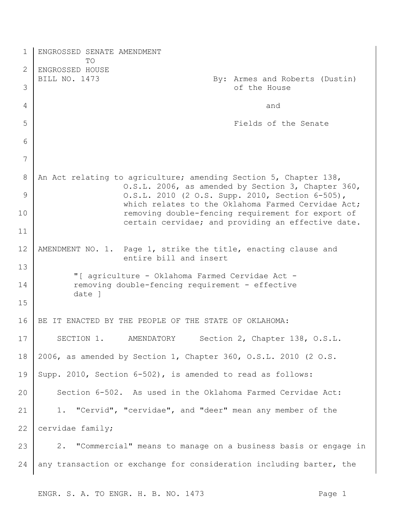| 1            | ENGROSSED SENATE AMENDMENT<br>TO                                                                                       |
|--------------|------------------------------------------------------------------------------------------------------------------------|
| $\mathbf{2}$ | ENGROSSED HOUSE                                                                                                        |
| 3            | BILL NO. 1473<br>By: Armes and Roberts (Dustin)<br>of the House                                                        |
| 4            | and                                                                                                                    |
| 5            | Fields of the Senate                                                                                                   |
| 6            |                                                                                                                        |
| 7            |                                                                                                                        |
| 8            | An Act relating to agriculture; amending Section 5, Chapter 138,<br>O.S.L. 2006, as amended by Section 3, Chapter 360, |
| 9            | O.S.L. 2010 (2 O.S. Supp. 2010, Section 6-505),<br>which relates to the Oklahoma Farmed Cervidae Act;                  |
| 10           | removing double-fencing requirement for export of<br>certain cervidae; and providing an effective date.                |
| 11           |                                                                                                                        |
| 12           | AMENDMENT NO. 1. Page 1, strike the title, enacting clause and<br>entire bill and insert                               |
| 13           | "[ agriculture - Oklahoma Farmed Cervidae Act -                                                                        |
| 14<br>15     | removing double-fencing requirement - effective<br>date 1                                                              |
|              |                                                                                                                        |
| 16           | BE IT ENACTED BY THE PEOPLE OF THE STATE OF OKLAHOMA:                                                                  |
| 17           | Section 2, Chapter 138, O.S.L.<br>SECTION 1.<br>AMENDATORY                                                             |
| 18           | 2006, as amended by Section 1, Chapter 360, O.S.L. 2010 (2 O.S.                                                        |
| 19           | Supp. 2010, Section 6-502), is amended to read as follows:                                                             |
| 20           | Section 6-502. As used in the Oklahoma Farmed Cervidae Act:                                                            |
| 21           | 1. "Cervid", "cervidae", and "deer" mean any member of the                                                             |
| 22           | cervidae family;                                                                                                       |
| 23           | 2. "Commercial" means to manage on a business basis or engage in                                                       |
| 24           | any transaction or exchange for consideration including barter, the                                                    |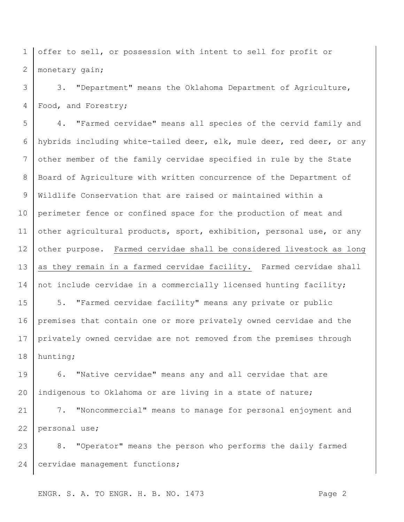1 2 offer to sell, or possession with intent to sell for profit or monetary gain;

3 4 3. "Department" means the Oklahoma Department of Agriculture, Food, and Forestry;

5 6 7 8 9 10 11 12 13 14 4. "Farmed cervidae" means all species of the cervid family and hybrids including white-tailed deer, elk, mule deer, red deer, or any other member of the family cervidae specified in rule by the State Board of Agriculture with written concurrence of the Department of Wildlife Conservation that are raised or maintained within a perimeter fence or confined space for the production of meat and other agricultural products, sport, exhibition, personal use, or any other purpose. Farmed cervidae shall be considered livestock as long as they remain in a farmed cervidae facility. Farmed cervidae shall not include cervidae in a commercially licensed hunting facility;

15 16 17 18 5. "Farmed cervidae facility" means any private or public premises that contain one or more privately owned cervidae and the privately owned cervidae are not removed from the premises through hunting;

19 20 6. "Native cervidae" means any and all cervidae that are indigenous to Oklahoma or are living in a state of nature;

21 22 7. "Noncommercial" means to manage for personal enjoyment and personal use;

23 24 8. "Operator" means the person who performs the daily farmed cervidae management functions;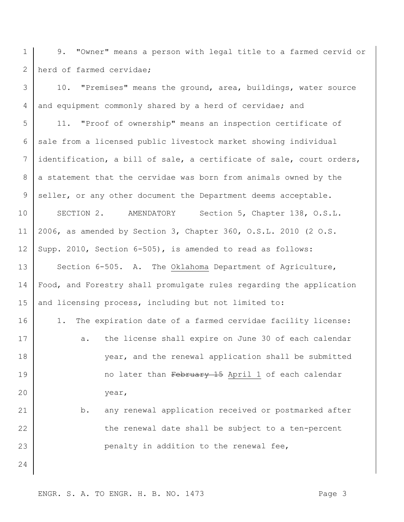1 2 9. "Owner" means a person with legal title to a farmed cervid or herd of farmed cervidae;

3 4 5 6 7 8 9 10 11 12 13 14 15 16 17 18 19 20 21 22 10. "Premises" means the ground, area, buildings, water source and equipment commonly shared by a herd of cervidae; and 11. "Proof of ownership" means an inspection certificate of sale from a licensed public livestock market showing individual identification, a bill of sale, a certificate of sale, court orders, a statement that the cervidae was born from animals owned by the seller, or any other document the Department deems acceptable. SECTION 2. AMENDATORY Section 5, Chapter 138, O.S.L. 2006, as amended by Section 3, Chapter 360, O.S.L. 2010 (2 O.S. Supp. 2010, Section 6-505), is amended to read as follows: Section 6-505. A. The Oklahoma Department of Agriculture, Food, and Forestry shall promulgate rules regarding the application and licensing process, including but not limited to: 1. The expiration date of a farmed cervidae facility license: a. the license shall expire on June 30 of each calendar year, and the renewal application shall be submitted no later than February 15 April 1 of each calendar year, b. any renewal application received or postmarked after the renewal date shall be subject to a ten-percent

penalty in addition to the renewal fee,

24

23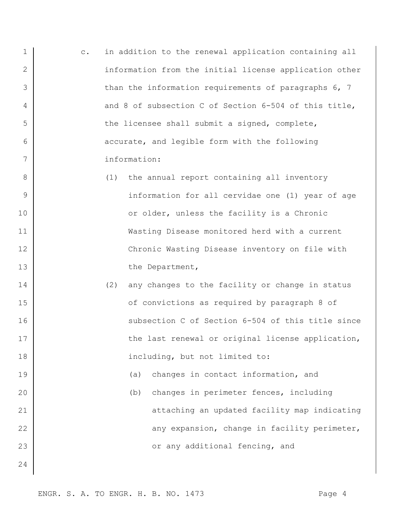- 1 2 3 4 5 6 7 c. in addition to the renewal application containing all information from the initial license application other than the information requirements of paragraphs 6, 7 and 8 of subsection C of Section 6-504 of this title, the licensee shall submit a signed, complete, accurate, and legible form with the following information:
	- (1) the annual report containing all inventory information for all cervidae one (1) year of age or older, unless the facility is a Chronic Wasting Disease monitored herd with a current Chronic Wasting Disease inventory on file with the Department,
		- (2) any changes to the facility or change in status of convictions as required by paragraph 8 of subsection C of Section 6-504 of this title since the last renewal or original license application, including, but not limited to:
	- (a) changes in contact information, and (b) changes in perimeter fences, including attaching an updated facility map indicating any expansion, change in facility perimeter, or any additional fencing, and

8

9

10

11

12

13

14

15

16

17

18

19

20

21

22

23

24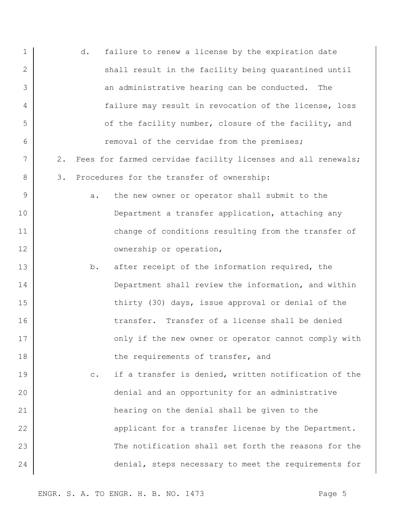|       | d.<br>failure to renew a license by the expiration date           |
|-------|-------------------------------------------------------------------|
|       | shall result in the facility being quarantined until              |
|       | an administrative hearing can be conducted.<br>The                |
|       | failure may result in revocation of the license, loss             |
|       | of the facility number, closure of the facility, and              |
|       | removal of the cervidae from the premises;                        |
| $2$ . | Fees for farmed cervidae facility licenses and all renewals;      |
| 3.    | Procedures for the transfer of ownership:                         |
|       | the new owner or operator shall submit to the<br>а.               |
|       | Department a transfer application, attaching any                  |
|       | change of conditions resulting from the transfer of               |
|       | ownership or operation,                                           |
|       | after receipt of the information required, the<br>b.              |
|       | Department shall review the information, and within               |
|       | thirty (30) days, issue approval or denial of the                 |
|       | transfer. Transfer of a license shall be denied                   |
|       | only if the new owner or operator cannot comply with              |
|       | the requirements of transfer, and                                 |
|       | if a transfer is denied, written notification of the<br>$\circ$ . |
|       | denial and an opportunity for an administrative                   |
|       | hearing on the denial shall be given to the                       |
|       | applicant for a transfer license by the Department.               |
|       | The notification shall set forth the reasons for the              |
|       | denial, steps necessary to meet the requirements for              |
|       |                                                                   |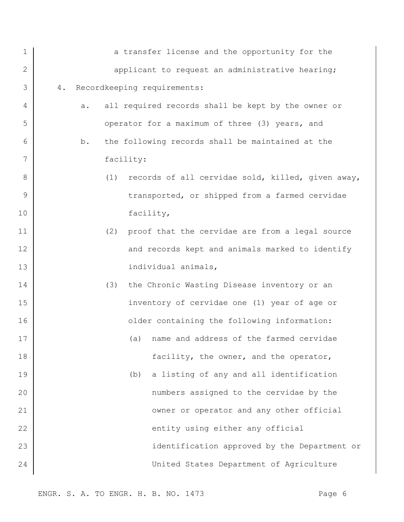| $\mathbf 1$ | a transfer license and the opportunity for the           |
|-------------|----------------------------------------------------------|
| 2           | applicant to request an administrative hearing;          |
| 3           | Recordkeeping requirements:<br>4.                        |
| 4           | all required records shall be kept by the owner or<br>a. |
| 5           | operator for a maximum of three (3) years, and           |
| 6           | the following records shall be maintained at the<br>b.   |
| 7           | facility:                                                |
| 8           | records of all cervidae sold, killed, given away,<br>(1) |
| 9           | transported, or shipped from a farmed cervidae           |
| 10          | facility,                                                |
| 11          | (2)<br>proof that the cervidae are from a legal source   |
| 12          | and records kept and animals marked to identify          |
| 13          | individual animals,                                      |
| 14          | the Chronic Wasting Disease inventory or an<br>(3)       |
| 15          | inventory of cervidae one (1) year of age or             |
| 16          | older containing the following information:              |
| 17          | (a) name and address of the farmed cervidae              |
| 18          | facility, the owner, and the operator,                   |
| 19          | a listing of any and all identification<br>(b)           |
| 20          | numbers assigned to the cervidae by the                  |
| 21          | owner or operator and any other official                 |
| 22          | entity using either any official                         |
| 23          | identification approved by the Department or             |
| 24          | United States Department of Agriculture                  |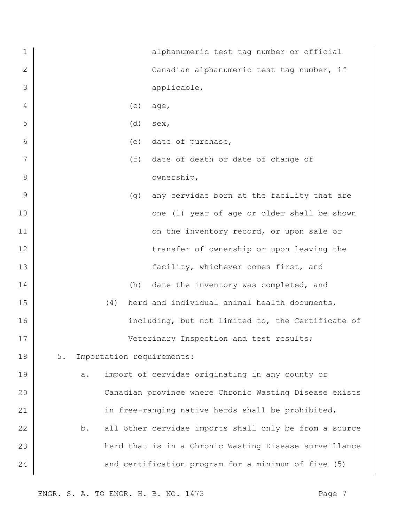| $\mathbf 1$  |     | alphanumeric test tag number or official               |
|--------------|-----|--------------------------------------------------------|
| $\mathbf{2}$ |     | Canadian alphanumeric test tag number, if              |
| 3            |     | applicable,                                            |
| 4            |     | (c)<br>age,                                            |
| 5            |     | (d)<br>sex,                                            |
| 6            |     | date of purchase,<br>(e)                               |
| 7            |     | (f)<br>date of death or date of change of              |
| 8            |     | ownership,                                             |
| 9            |     | (g)<br>any cervidae born at the facility that are      |
| 10           |     | one (1) year of age or older shall be shown            |
| 11           |     | on the inventory record, or upon sale or               |
| 12           |     | transfer of ownership or upon leaving the              |
| 13           |     | facility, whichever comes first, and                   |
| 14           |     | date the inventory was completed, and<br>(h)           |
| 15           | (4) | herd and individual animal health documents,           |
| 16           |     | including, but not limited to, the Certificate of      |
| 17           |     | Veterinary Inspection and test results;                |
| 18           | 5.  | Importation requirements:                              |
| 19           | a.  | import of cervidae originating in any county or        |
| 20           |     | Canadian province where Chronic Wasting Disease exists |
| 21           |     | in free-ranging native herds shall be prohibited,      |
| 22           | b.  | all other cervidae imports shall only be from a source |
| 23           |     | herd that is in a Chronic Wasting Disease surveillance |
| 24           |     | and certification program for a minimum of five (5)    |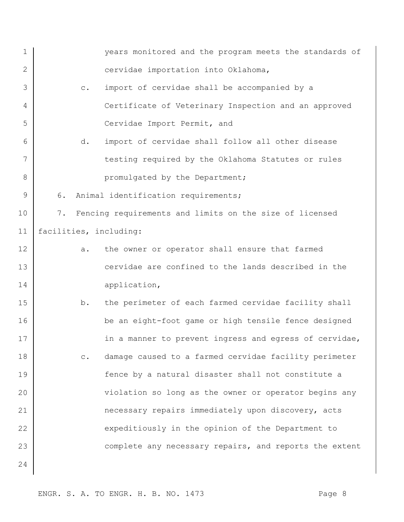| 1                 |                        |                | years monitored and the program meets the standards of  |
|-------------------|------------------------|----------------|---------------------------------------------------------|
| 2                 |                        |                | cervidae importation into Oklahoma,                     |
| 3                 |                        | $\circ$ .      | import of cervidae shall be accompanied by a            |
| 4                 |                        |                | Certificate of Veterinary Inspection and an approved    |
| 5                 |                        |                | Cervidae Import Permit, and                             |
| 6                 |                        | d.             | import of cervidae shall follow all other disease       |
| 7                 |                        |                | testing required by the Oklahoma Statutes or rules      |
| 8                 |                        |                | promulgated by the Department;                          |
| 9                 | 6.                     |                | Animal identification requirements;                     |
| 10                | 7.                     |                | Fencing requirements and limits on the size of licensed |
| 11                | facilities, including: |                |                                                         |
| $12 \overline{ }$ |                        | a.             | the owner or operator shall ensure that farmed          |
| 13                |                        |                | cervidae are confined to the lands described in the     |
| 14                |                        |                | application,                                            |
| 15                |                        | b.             | the perimeter of each farmed cervidae facility shall    |
| 16                |                        |                | be an eight-foot game or high tensile fence designed    |
| 17                |                        |                | in a manner to prevent ingress and egress of cervidae,  |
| 18                |                        | $\mathtt{C}$ . | damage caused to a farmed cervidae facility perimeter   |
| 19                |                        |                | fence by a natural disaster shall not constitute a      |
| 20                |                        |                | violation so long as the owner or operator begins any   |
| 21                |                        |                | necessary repairs immediately upon discovery, acts      |
| 22                |                        |                | expeditiously in the opinion of the Department to       |
| 23                |                        |                | complete any necessary repairs, and reports the extent  |
| 24                |                        |                |                                                         |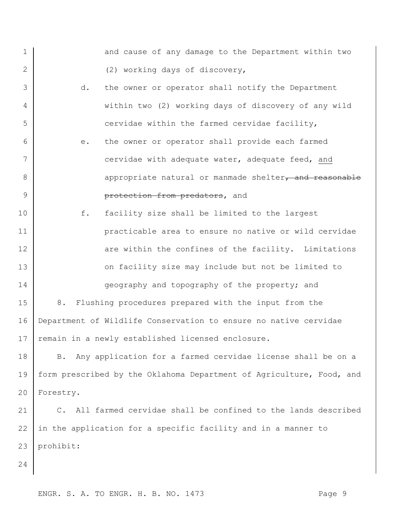1 2 3 4 5 6 7 8 9 10 11 12 13 14 15 16 17 18 19 20 21 22 23 24 and cause of any damage to the Department within two (2) working days of discovery, d. the owner or operator shall notify the Department within two (2) working days of discovery of any wild cervidae within the farmed cervidae facility, e. the owner or operator shall provide each farmed cervidae with adequate water, adequate feed, and appropriate natural or manmade shelter, and reasonable protection from predators, and f. facility size shall be limited to the largest practicable area to ensure no native or wild cervidae are within the confines of the facility. Limitations on facility size may include but not be limited to geography and topography of the property; and 8. Flushing procedures prepared with the input from the Department of Wildlife Conservation to ensure no native cervidae remain in a newly established licensed enclosure. B. Any application for a farmed cervidae license shall be on a form prescribed by the Oklahoma Department of Agriculture, Food, and Forestry. C. All farmed cervidae shall be confined to the lands described in the application for a specific facility and in a manner to prohibit: